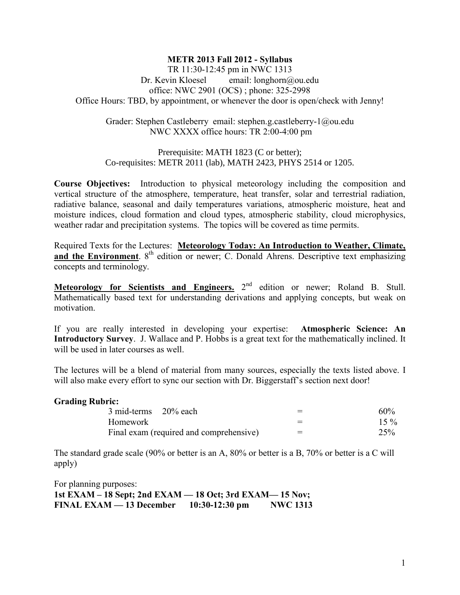## **METR 2013 Fall 2012 - Syllabus**

TR 11:30-12:45 pm in NWC 1313 Dr. Kevin Kloesel email: longhorn@ou.edu office: NWC 2901 (OCS) ; phone: 325-2998 Office Hours: TBD, by appointment, or whenever the door is open/check with Jenny!

Grader: Stephen Castleberry email: stephen.g.castleberry-1@ou.edu NWC XXXX office hours: TR 2:00-4:00 pm

Prerequisite: MATH 1823 (C or better); Co-requisites: METR 2011 (lab), MATH 2423, PHYS 2514 or 1205.

**Course Objectives:** Introduction to physical meteorology including the composition and vertical structure of the atmosphere, temperature, heat transfer, solar and terrestrial radiation, radiative balance, seasonal and daily temperatures variations, atmospheric moisture, heat and moisture indices, cloud formation and cloud types, atmospheric stability, cloud microphysics, weather radar and precipitation systems. The topics will be covered as time permits.

Required Texts for the Lectures: **Meteorology Today: An Introduction to Weather, Climate,**  and the Environment. 8<sup>th</sup> edition or newer; C. Donald Ahrens. Descriptive text emphasizing concepts and terminology.

**Meteorology for Scientists and Engineers.** 2<sup>nd</sup> edition or newer; Roland B. Stull. Mathematically based text for understanding derivations and applying concepts, but weak on motivation.

If you are really interested in developing your expertise: **Atmospheric Science: An Introductory Survey**. J. Wallace and P. Hobbs is a great text for the mathematically inclined. It will be used in later courses as well.

The lectures will be a blend of material from many sources, especially the texts listed above. I will also make every effort to sync our section with Dr. Biggerstaff's section next door!

### **Grading Rubric:**

| 3 mid-terms 20% each                    |  |     | $60\%$ |
|-----------------------------------------|--|-----|--------|
| Homework                                |  |     | $15\%$ |
| Final exam (required and comprehensive) |  | $=$ | 25%    |

The standard grade scale (90% or better is an A, 80% or better is a B, 70% or better is a C will apply)

For planning purposes: **1st EXAM – 18 Sept; 2nd EXAM — 18 Oct; 3rd EXAM— 15 Nov; FINAL EXAM — 13 December 10:30-12:30 pm NWC 1313**